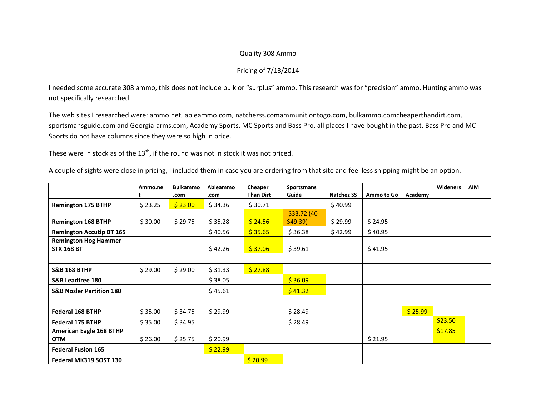## Quality 308 Ammo

## Pricing of 7/13/2014

I needed some accurate 308 ammo, this does not include bulk or "surplus" ammo. This research was for "precision" ammo. Hunting ammo was not specifically researched.

The web sites I researched were: ammo.net, ableammo.com, natchezss.comammunitiontogo.com, bulkammo.comcheaperthandirt.com, sportsmansguide.com and Georgia-arms.com, Academy Sports, MC Sports and Bass Pro, all places I have bought in the past. Bass Pro and MC Sports do not have columns since they were so high in price.

These were in stock as of the  $13<sup>th</sup>$ , if the round was not in stock it was not priced.

A couple of sights were close in pricing, I included them in case you are ordering from that site and feel less shipping might be an option.

|                                     | Ammo.ne | <b>Bulkammo</b> | Ableammo | Cheaper          | <b>Sportsmans</b> |                   |            |         | <b>Wideners</b> | <b>AIM</b> |
|-------------------------------------|---------|-----------------|----------|------------------|-------------------|-------------------|------------|---------|-----------------|------------|
|                                     | ŧ       | .com            | .com     | <b>Than Dirt</b> | Guide             | <b>Natchez SS</b> | Ammo to Go | Academy |                 |            |
| <b>Remington 175 BTHP</b>           | \$23.25 | \$23.00         | \$34.36  | \$30.71          |                   | \$40.99           |            |         |                 |            |
|                                     |         |                 |          |                  | \$33.72 (40)      |                   |            |         |                 |            |
| <b>Remington 168 BTHP</b>           | \$30.00 | \$29.75         | \$35.28  | \$24.56          | \$49.39           | \$29.99           | \$24.95    |         |                 |            |
| <b>Remington Accutip BT 165</b>     |         |                 | \$40.56  | \$35.65          | \$36.38           | \$42.99           | \$40.95    |         |                 |            |
| <b>Remington Hog Hammer</b>         |         |                 |          |                  |                   |                   |            |         |                 |            |
| <b>STX 168 BT</b>                   |         |                 | \$42.26  | \$37.06          | \$39.61           |                   | \$41.95    |         |                 |            |
|                                     |         |                 |          |                  |                   |                   |            |         |                 |            |
| <b>S&amp;B 168 BTHP</b>             | \$29.00 | \$29.00         | \$31.33  | \$27.88          |                   |                   |            |         |                 |            |
| S&B Leadfree 180                    |         |                 | \$38.05  |                  | \$36.09           |                   |            |         |                 |            |
| <b>S&amp;B Nosler Partition 180</b> |         |                 | \$45.61  |                  | \$41.32           |                   |            |         |                 |            |
|                                     |         |                 |          |                  |                   |                   |            |         |                 |            |
| Federal 168 BTHP                    | \$35.00 | \$34.75         | \$29.99  |                  | \$28.49           |                   |            | \$25.99 |                 |            |
| <b>Federal 175 BTHP</b>             | \$35.00 | \$34.95         |          |                  | \$28.49           |                   |            |         | \$23.50         |            |
| <b>American Eagle 168 BTHP</b>      |         |                 |          |                  |                   |                   |            |         | \$17.85         |            |
| <b>OTM</b>                          | \$26.00 | \$25.75         | \$20.99  |                  |                   |                   | \$21.95    |         |                 |            |
| <b>Federal Fusion 165</b>           |         |                 | \$22.99  |                  |                   |                   |            |         |                 |            |
| Federal MK319 SOST 130              |         |                 |          | \$20.99          |                   |                   |            |         |                 |            |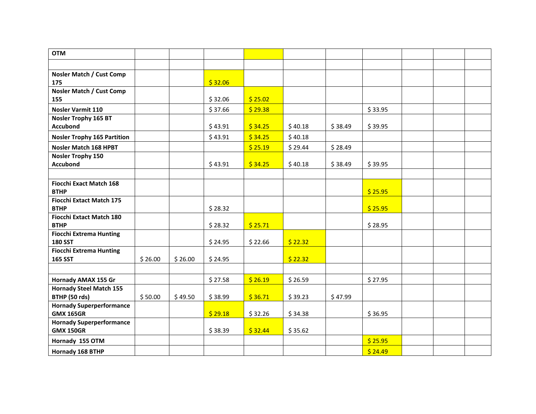| <b>OTM</b>                                          |         |         |         |         |         |         |         |  |  |
|-----------------------------------------------------|---------|---------|---------|---------|---------|---------|---------|--|--|
|                                                     |         |         |         |         |         |         |         |  |  |
| Nosler Match / Cust Comp<br>175                     |         |         | \$32.06 |         |         |         |         |  |  |
| <b>Nosler Match / Cust Comp</b><br>155              |         |         | \$32.06 | \$25.02 |         |         |         |  |  |
| Nosler Varmit 110                                   |         |         | \$37.66 | \$29.38 |         |         | \$33.95 |  |  |
| <b>Nosler Trophy 165 BT</b><br><b>Accubond</b>      |         |         | \$43.91 | \$34.25 | \$40.18 | \$38.49 | \$39.95 |  |  |
| <b>Nosler Trophy 165 Partition</b>                  |         |         | \$43.91 | \$34.25 | \$40.18 |         |         |  |  |
| Nosler Match 168 HPBT                               |         |         |         | \$25.19 | \$29.44 | \$28.49 |         |  |  |
| <b>Nosler Trophy 150</b><br><b>Accubond</b>         |         |         | \$43.91 | \$34.25 | \$40.18 | \$38.49 | \$39.95 |  |  |
|                                                     |         |         |         |         |         |         |         |  |  |
| <b>Fiocchi Exact Match 168</b><br><b>BTHP</b>       |         |         |         |         |         |         | \$25.95 |  |  |
| <b>Fiocchi Extact Match 175</b><br><b>BTHP</b>      |         |         | \$28.32 |         |         |         | \$25.95 |  |  |
| <b>Fiocchi Extact Match 180</b><br><b>BTHP</b>      |         |         | \$28.32 | \$25.71 |         |         | \$28.95 |  |  |
| <b>Fiocchi Extrema Hunting</b><br><b>180 SST</b>    |         |         | \$24.95 | \$22.66 | \$22.32 |         |         |  |  |
| <b>Fiocchi Extrema Hunting</b><br><b>165 SST</b>    | \$26.00 | \$26.00 | \$24.95 |         | \$22.32 |         |         |  |  |
|                                                     |         |         |         |         |         |         |         |  |  |
| Hornady AMAX 155 Gr                                 |         |         | \$27.58 | \$26.19 | \$26.59 |         | \$27.95 |  |  |
| <b>Hornady Steel Match 155</b>                      |         |         |         |         |         |         |         |  |  |
| BTHP (50 rds)                                       | \$50.00 | \$49.50 | \$38.99 | \$36.71 | \$39.23 | \$47.99 |         |  |  |
| <b>Hornady Superperformance</b><br><b>GMX 165GR</b> |         |         | \$29.18 | \$32.26 | \$34.38 |         | \$36.95 |  |  |
| <b>Hornady Superperformance</b><br><b>GMX 150GR</b> |         |         | \$38.39 | \$32.44 | \$35.62 |         |         |  |  |
| Hornady 155 OTM                                     |         |         |         |         |         |         | \$25.95 |  |  |
| Hornady 168 BTHP                                    |         |         |         |         |         |         | \$24.49 |  |  |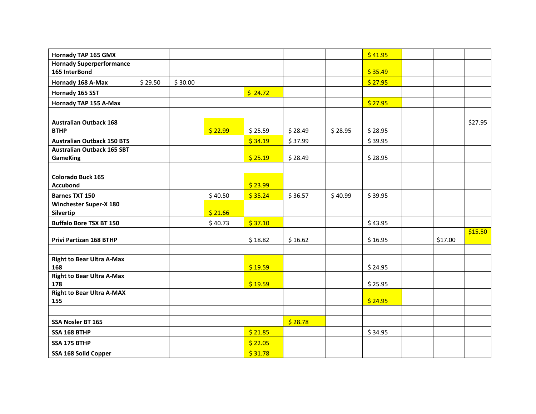| Hornady TAP 165 GMX                        |         |         |         |         |         |         | \$41.95 |         |         |
|--------------------------------------------|---------|---------|---------|---------|---------|---------|---------|---------|---------|
| <b>Hornady Superperformance</b>            |         |         |         |         |         |         |         |         |         |
| 165 InterBond                              |         |         |         |         |         |         | \$35.49 |         |         |
| Hornady 168 A-Max                          | \$29.50 | \$30.00 |         |         |         |         | \$27.95 |         |         |
| Hornady 165 SST                            |         |         |         | \$24.72 |         |         |         |         |         |
| Hornady TAP 155 A-Max                      |         |         |         |         |         |         | \$27.95 |         |         |
|                                            |         |         |         |         |         |         |         |         |         |
| <b>Australian Outback 168</b>              |         |         |         |         |         |         |         |         | \$27.95 |
| <b>BTHP</b>                                |         |         | \$22.99 | \$25.59 | \$28.49 | \$28.95 | \$28.95 |         |         |
| <b>Australian Outback 150 BTS</b>          |         |         |         | \$34.19 | \$37.99 |         | \$39.95 |         |         |
| <b>Australian Outback 165 SBT</b>          |         |         |         |         |         |         |         |         |         |
| <b>GameKing</b>                            |         |         |         | \$25.19 | \$28.49 |         | \$28.95 |         |         |
|                                            |         |         |         |         |         |         |         |         |         |
| Colorado Buck 165                          |         |         |         |         |         |         |         |         |         |
| <b>Accubond</b>                            |         |         |         | \$23.99 |         |         |         |         |         |
| <b>Barnes TXT 150</b>                      |         |         | \$40.50 | \$35.24 | \$36.57 | \$40.99 | \$39.95 |         |         |
| <b>Winchester Super-X 180</b><br>Silvertip |         |         | \$21.66 |         |         |         |         |         |         |
| <b>Buffalo Bore TSX BT 150</b>             |         |         | \$40.73 | \$37.10 |         |         | \$43.95 |         |         |
|                                            |         |         |         |         |         |         |         |         | \$15.50 |
| Privi Partizan 168 BTHP                    |         |         |         | \$18.82 | \$16.62 |         | \$16.95 | \$17.00 |         |
|                                            |         |         |         |         |         |         |         |         |         |
| <b>Right to Bear Ultra A-Max</b>           |         |         |         |         |         |         |         |         |         |
| 168                                        |         |         |         | \$19.59 |         |         | \$24.95 |         |         |
| <b>Right to Bear Ultra A-Max</b>           |         |         |         |         |         |         |         |         |         |
| 178                                        |         |         |         | \$19.59 |         |         | \$25.95 |         |         |
| <b>Right to Bear Ultra A-MAX</b><br>155    |         |         |         |         |         |         | \$24.95 |         |         |
|                                            |         |         |         |         |         |         |         |         |         |
|                                            |         |         |         |         |         |         |         |         |         |
| SSA Nosler BT 165                          |         |         |         |         | \$28.78 |         |         |         |         |
| SSA 168 BTHP                               |         |         |         | \$21.85 |         |         | \$34.95 |         |         |
| SSA 175 BTHP                               |         |         |         | \$22.05 |         |         |         |         |         |
| SSA 168 Solid Copper                       |         |         |         | \$31.78 |         |         |         |         |         |